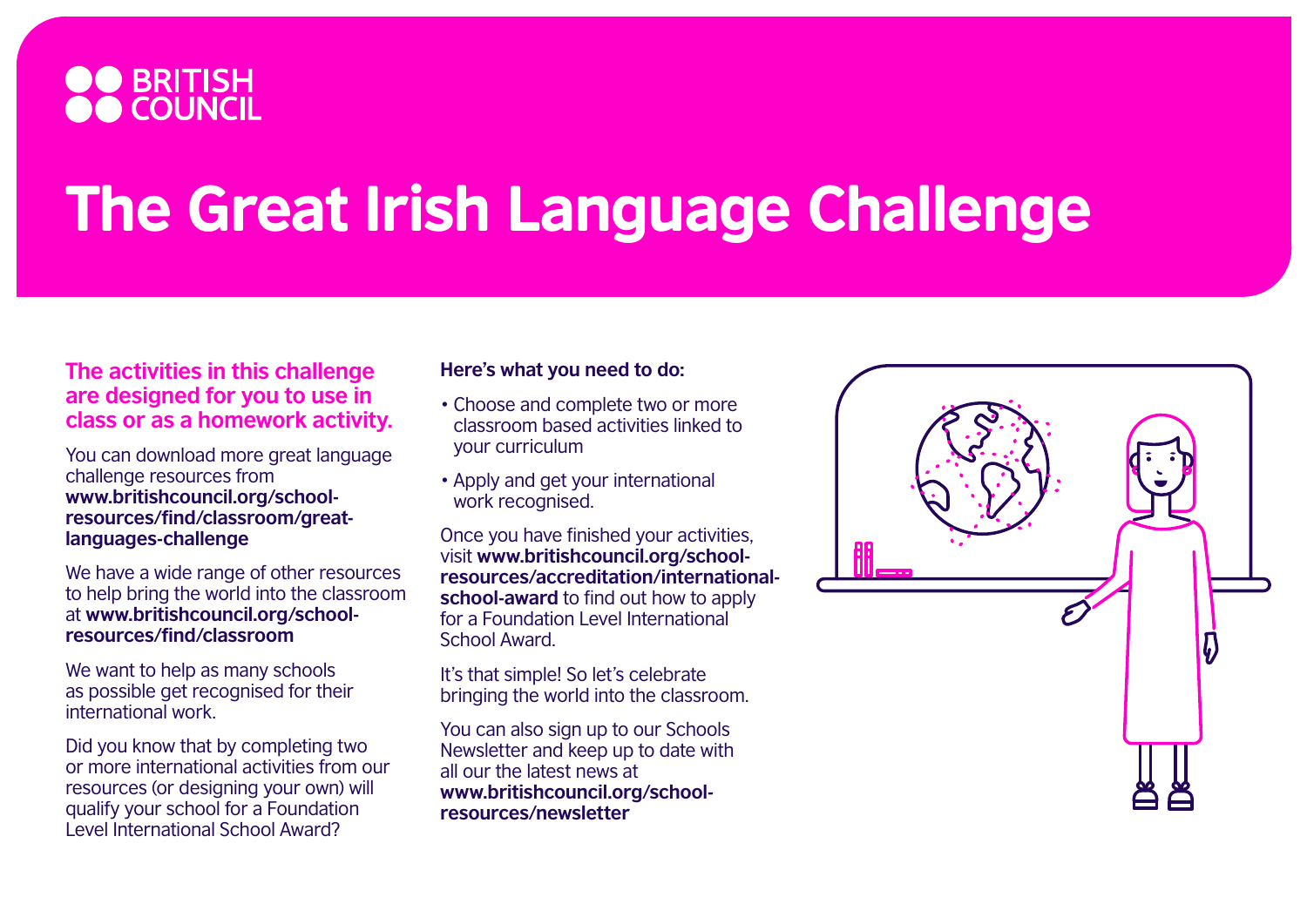

## The Great Irish Language Challenge

## **The activities in this challenge are designed for you to use in class or as a homework activity.**

You can download more great language challenge resources from **[www.britishcouncil.org/school](http://www.britishcouncil.org/school-resources/find/classroom/great-languages-challenge)[resources/find/classroom/great](http://www.britishcouncil.org/school-resources/find/classroom/great-languages-challenge)[languages-challenge](http://www.britishcouncil.org/school-resources/find/classroom/great-languages-challenge)**

We have a wide range of other resources to help bring the world into the classroom at **[www.britishcouncil.org/school](http://www.britishcouncil.org/school-resources/find/classroom)[resources/find/classroom](http://www.britishcouncil.org/school-resources/find/classroom)**

We want to help as many schools as possible get recognised for their international work.

Did you know that by completing two or more international activities from our resources (or designing your own) will qualify your school for a Foundation Level International School Award?

## **Here's what you need to do:**

- Choose and complete two or more classroom based activities linked to your curriculum
- Apply and get your international work recognised.

Once you have finished your activities, visit **[www.britishcouncil.org/school](https://www.britishcouncil.org/school-resources/accreditation/international-school-award)[resources/accreditation/international](https://www.britishcouncil.org/school-resources/accreditation/international-school-award)[school-award](https://www.britishcouncil.org/school-resources/accreditation/international-school-award)** to find out how to apply for a Foundation Level International School Award.

It's that simple! So let's celebrate bringing the world into the classroom.

You can also sign up to our Schools Newsletter and keep up to date with all our the latest news at **[www.britishcouncil.org/school](https://www.britishcouncil.org/school-resources/newsletter)[resources/newsletter](https://www.britishcouncil.org/school-resources/newsletter)**